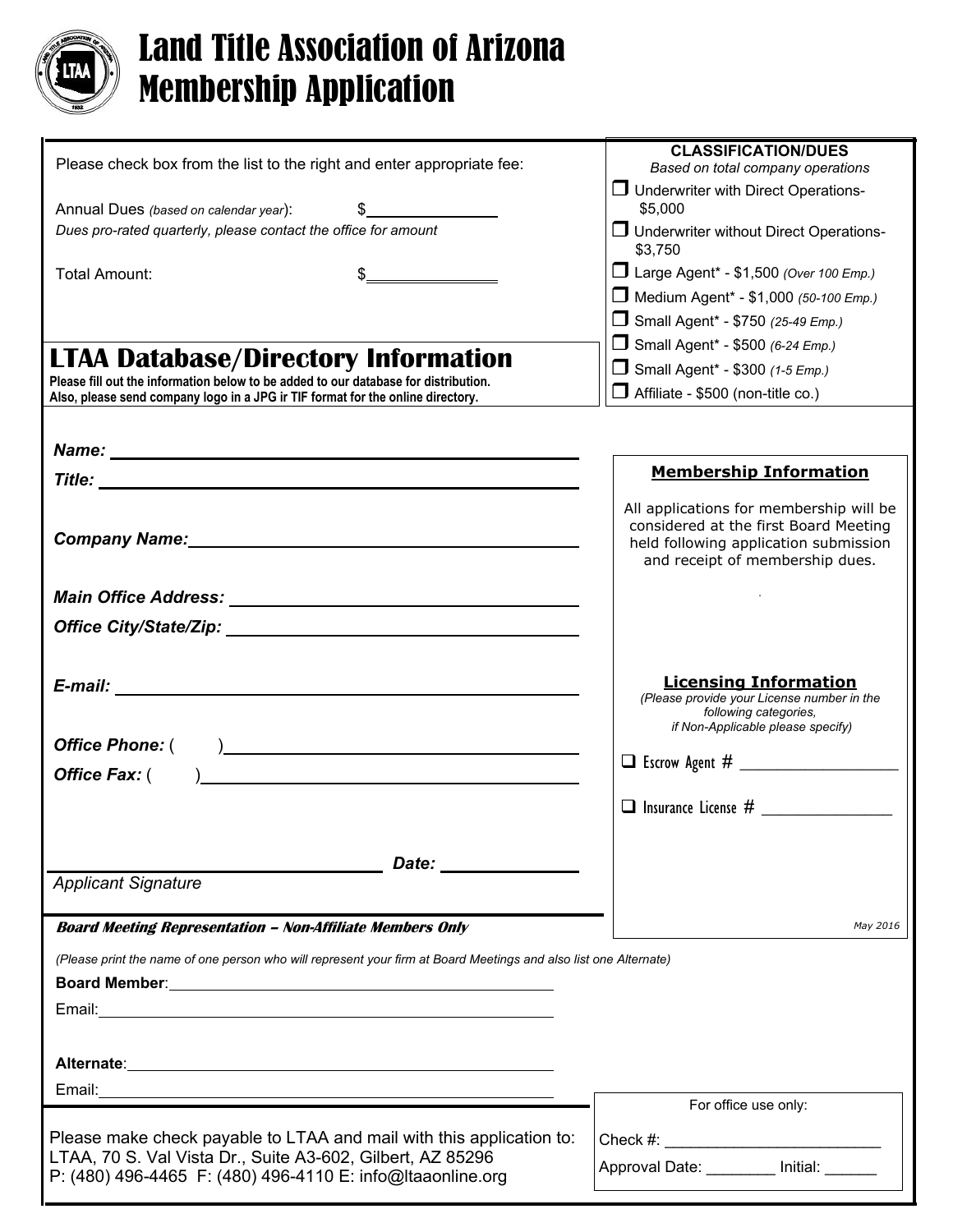

## Land Title Association of Arizona Membership Application

| Please check box from the list to the right and enter appropriate fee:                                                                                                                                                                                                                                                                                               | <b>CLASSIFICATION/DUES</b><br>Based on total company operations                                                                                              |
|----------------------------------------------------------------------------------------------------------------------------------------------------------------------------------------------------------------------------------------------------------------------------------------------------------------------------------------------------------------------|--------------------------------------------------------------------------------------------------------------------------------------------------------------|
| Annual Dues (based on calendar year):<br>$\mathfrak{S}$ and $\mathfrak{S}$                                                                                                                                                                                                                                                                                           | $\Box$ Underwriter with Direct Operations-<br>\$5,000                                                                                                        |
| Dues pro-rated quarterly, please contact the office for amount                                                                                                                                                                                                                                                                                                       | $\Box$ Underwriter without Direct Operations-<br>\$3,750                                                                                                     |
| Total Amount:<br>$\begin{picture}(20,10) \put(0,0){\line(1,0){10}} \put(15,0){\line(1,0){10}} \put(15,0){\line(1,0){10}} \put(15,0){\line(1,0){10}} \put(15,0){\line(1,0){10}} \put(15,0){\line(1,0){10}} \put(15,0){\line(1,0){10}} \put(15,0){\line(1,0){10}} \put(15,0){\line(1,0){10}} \put(15,0){\line(1,0){10}} \put(15,0){\line(1,0){10}} \put(15,0){\line(1$ | □ Large Agent* - \$1,500 (Over 100 Emp.)                                                                                                                     |
|                                                                                                                                                                                                                                                                                                                                                                      | Medium Agent* - \$1,000 (50-100 Emp.)                                                                                                                        |
|                                                                                                                                                                                                                                                                                                                                                                      | Small Agent* - \$750 (25-49 Emp.)                                                                                                                            |
| <b>LTAA Database/Directory Information</b>                                                                                                                                                                                                                                                                                                                           | Small Agent* - \$500 (6-24 Emp.)                                                                                                                             |
| Please fill out the information below to be added to our database for distribution.                                                                                                                                                                                                                                                                                  | Small Agent* - \$300 (1-5 Emp.)                                                                                                                              |
| Also, please send company logo in a JPG ir TIF format for the online directory.                                                                                                                                                                                                                                                                                      | $\Box$ Affiliate - \$500 (non-title co.)                                                                                                                     |
|                                                                                                                                                                                                                                                                                                                                                                      |                                                                                                                                                              |
| Name: Name and the second contract of the second contract of the second contract of the second contract of the second contract of the second contract of the second contract of the second contract of the second contract of                                                                                                                                        |                                                                                                                                                              |
|                                                                                                                                                                                                                                                                                                                                                                      | <b>Membership Information</b>                                                                                                                                |
| Company Name: Manual Company Name:                                                                                                                                                                                                                                                                                                                                   | All applications for membership will be<br>considered at the first Board Meeting<br>held following application submission<br>and receipt of membership dues. |
|                                                                                                                                                                                                                                                                                                                                                                      |                                                                                                                                                              |
|                                                                                                                                                                                                                                                                                                                                                                      |                                                                                                                                                              |
|                                                                                                                                                                                                                                                                                                                                                                      |                                                                                                                                                              |
|                                                                                                                                                                                                                                                                                                                                                                      | <b>Licensing Information</b><br>(Please provide your License number in the<br>following categories,<br>if Non-Applicable please specify)                     |
|                                                                                                                                                                                                                                                                                                                                                                      |                                                                                                                                                              |
| <b>Office Fax: (</b><br>) and the contract of the contract of $\mathcal{L}$                                                                                                                                                                                                                                                                                          |                                                                                                                                                              |
|                                                                                                                                                                                                                                                                                                                                                                      | $\Box$ Insurance License #                                                                                                                                   |
|                                                                                                                                                                                                                                                                                                                                                                      |                                                                                                                                                              |
| Date: the contract of the contract of the contract of the contract of the contract of the contract of the contract of the contract of the contract of the contract of the contract of the contract of the contract of the cont                                                                                                                                       |                                                                                                                                                              |
| <b>Applicant Signature</b>                                                                                                                                                                                                                                                                                                                                           |                                                                                                                                                              |
| <b>Board Meeting Representation - Non-Affiliate Members Only</b>                                                                                                                                                                                                                                                                                                     | May 2016                                                                                                                                                     |
| (Please print the name of one person who will represent your firm at Board Meetings and also list one Alternate)                                                                                                                                                                                                                                                     |                                                                                                                                                              |
|                                                                                                                                                                                                                                                                                                                                                                      |                                                                                                                                                              |
|                                                                                                                                                                                                                                                                                                                                                                      |                                                                                                                                                              |
|                                                                                                                                                                                                                                                                                                                                                                      |                                                                                                                                                              |
|                                                                                                                                                                                                                                                                                                                                                                      |                                                                                                                                                              |
|                                                                                                                                                                                                                                                                                                                                                                      |                                                                                                                                                              |
|                                                                                                                                                                                                                                                                                                                                                                      | For office use only:                                                                                                                                         |
| Please make check payable to LTAA and mail with this application to:                                                                                                                                                                                                                                                                                                 |                                                                                                                                                              |
| LTAA, 70 S. Val Vista Dr., Suite A3-602, Gilbert, AZ 85296<br>P: (480) 496-4465 F: (480) 496-4110 E: info@ltaaonline.org                                                                                                                                                                                                                                             | Approval Date: Initial:                                                                                                                                      |
|                                                                                                                                                                                                                                                                                                                                                                      |                                                                                                                                                              |